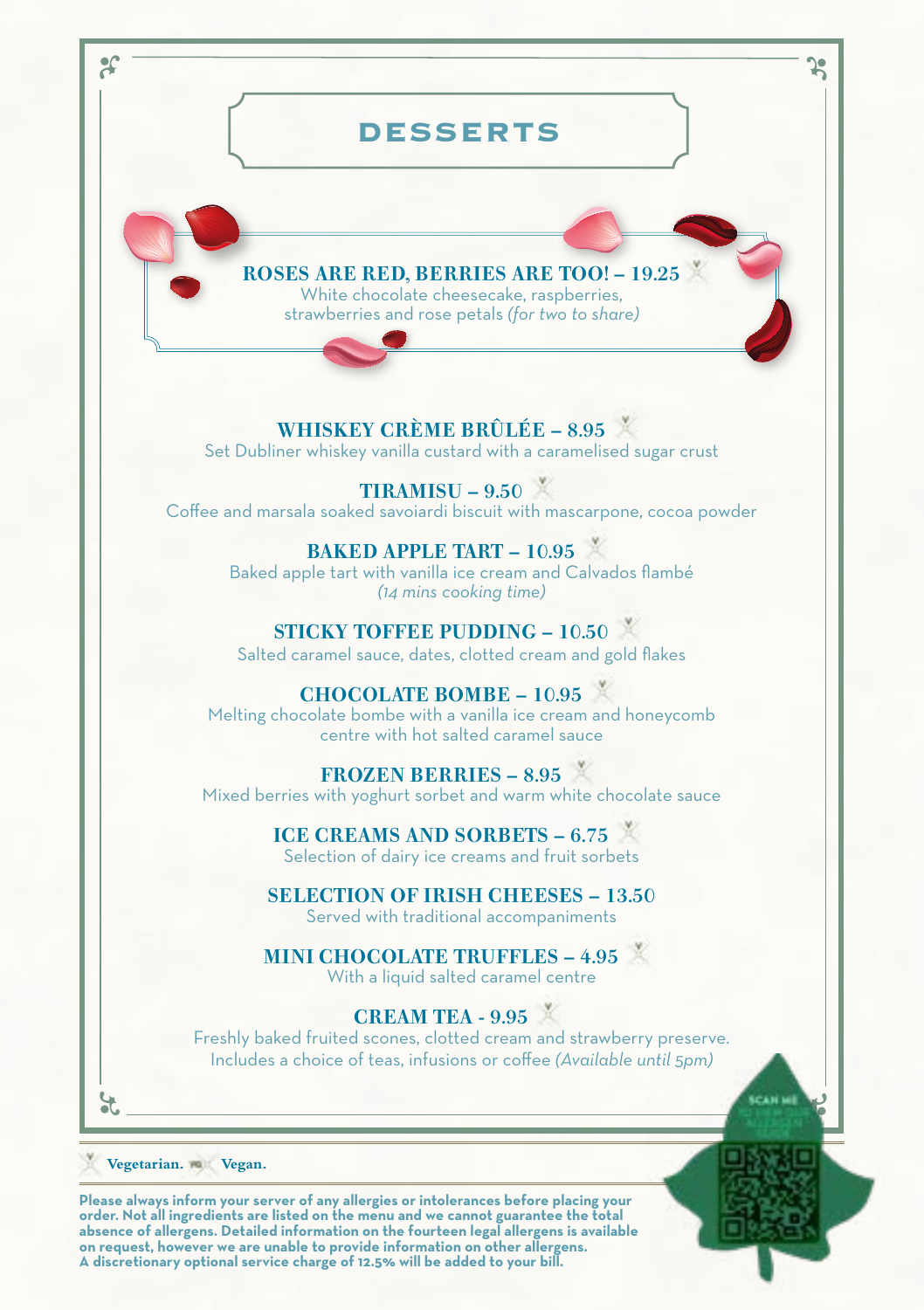

**order. Not all ingredients are listed on the menu and we cannot guarantee the total absence of allergens. Detailed information on the fourteen legal allergens is available on request, however we are unable to provide information on other allergens. A discretionary optional service charge of 12.5% will be added to your bill.**